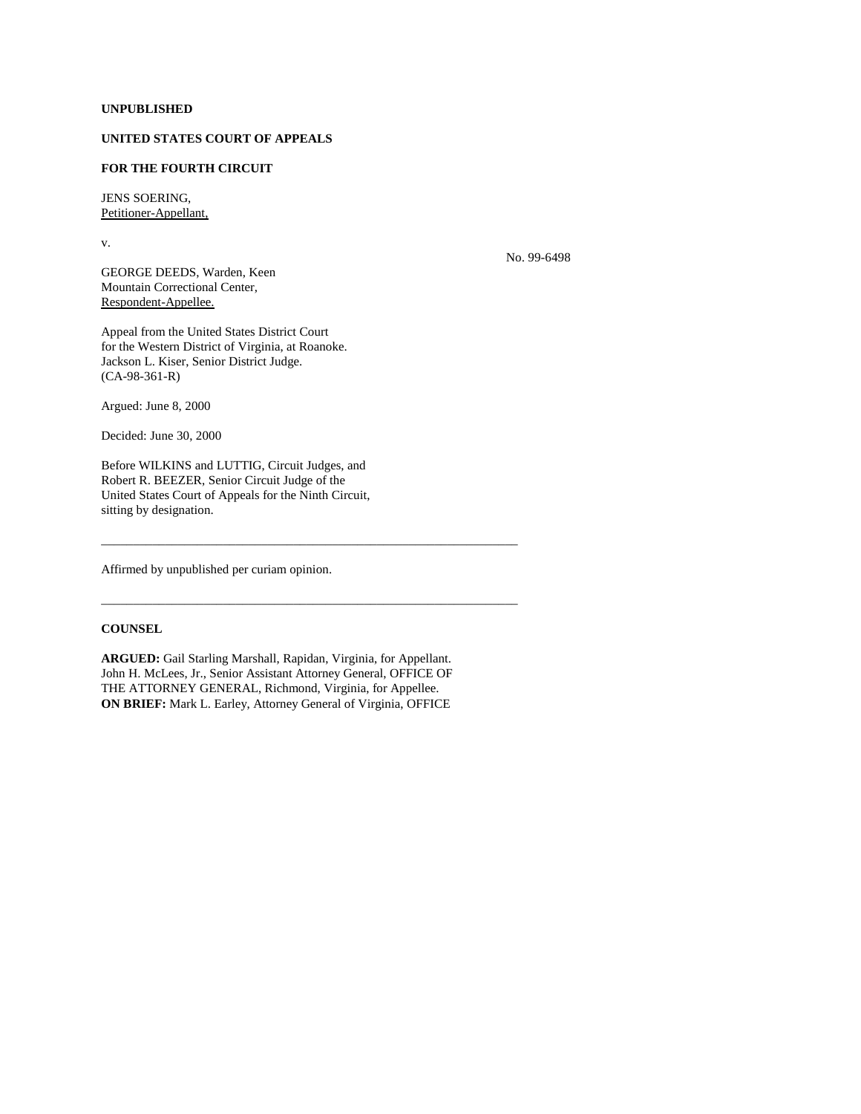## **UNPUBLISHED**

## **UNITED STATES COURT OF APPEALS**

## **FOR THE FOURTH CIRCUIT**

JENS SOERING, Petitioner-Appellant,

v.

No. 99-6498

GEORGE DEEDS, Warden, Keen Mountain Correctional Center, Respondent-Appellee.

Appeal from the United States District Court for the Western District of Virginia, at Roanoke. Jackson L. Kiser, Senior District Judge. (CA-98-361-R)

Argued: June 8, 2000

Decided: June 30, 2000

Before WILKINS and LUTTIG, Circuit Judges, and Robert R. BEEZER, Senior Circuit Judge of the United States Court of Appeals for the Ninth Circuit, sitting by designation.

Affirmed by unpublished per curiam opinion.

## **COUNSEL**

**ARGUED:** Gail Starling Marshall, Rapidan, Virginia, for Appellant. John H. McLees, Jr., Senior Assistant Attorney General, OFFICE OF THE ATTORNEY GENERAL, Richmond, Virginia, for Appellee. **ON BRIEF:** Mark L. Earley, Attorney General of Virginia, OFFICE

\_\_\_\_\_\_\_\_\_\_\_\_\_\_\_\_\_\_\_\_\_\_\_\_\_\_\_\_\_\_\_\_\_\_\_\_\_\_\_\_\_\_\_\_\_\_\_\_\_\_\_\_\_\_\_\_\_\_\_\_\_\_\_\_\_

\_\_\_\_\_\_\_\_\_\_\_\_\_\_\_\_\_\_\_\_\_\_\_\_\_\_\_\_\_\_\_\_\_\_\_\_\_\_\_\_\_\_\_\_\_\_\_\_\_\_\_\_\_\_\_\_\_\_\_\_\_\_\_\_\_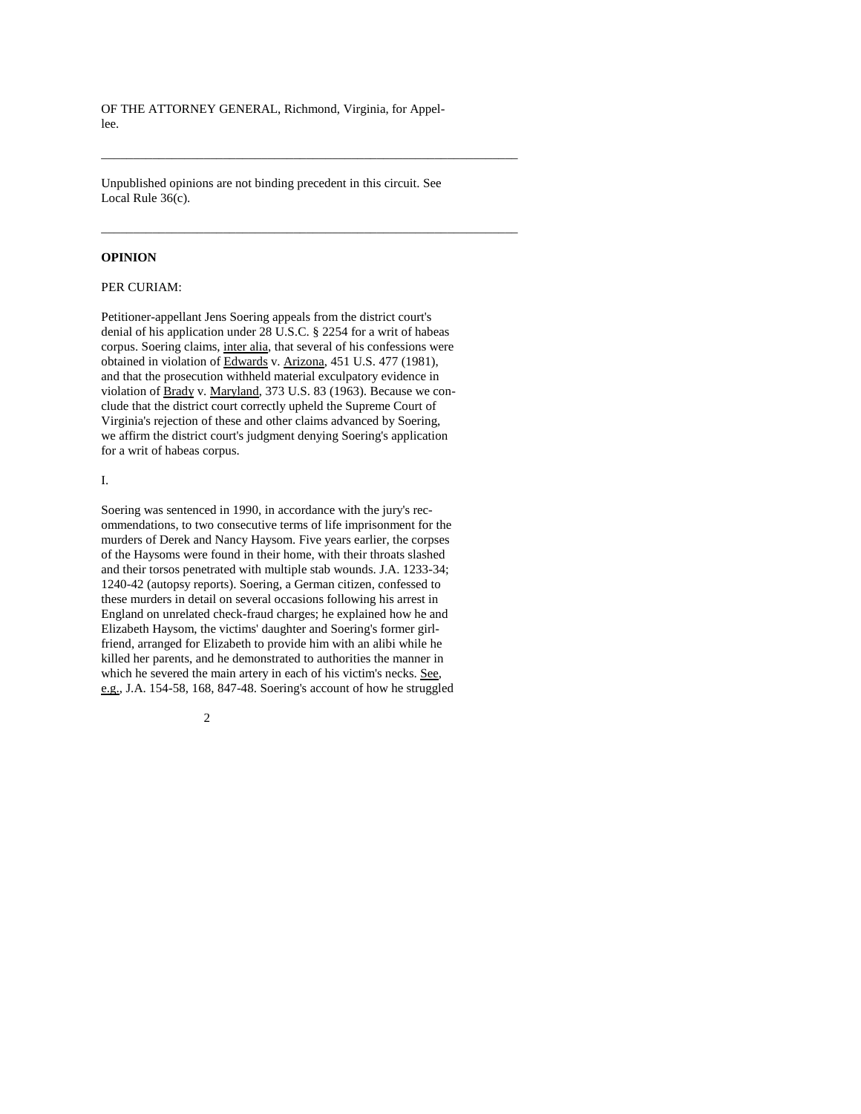OF THE ATTORNEY GENERAL, Richmond, Virginia, for Appellee.

\_\_\_\_\_\_\_\_\_\_\_\_\_\_\_\_\_\_\_\_\_\_\_\_\_\_\_\_\_\_\_\_\_\_\_\_\_\_\_\_\_\_\_\_\_\_\_\_\_\_\_\_\_\_\_\_\_\_\_\_\_\_\_\_\_

\_\_\_\_\_\_\_\_\_\_\_\_\_\_\_\_\_\_\_\_\_\_\_\_\_\_\_\_\_\_\_\_\_\_\_\_\_\_\_\_\_\_\_\_\_\_\_\_\_\_\_\_\_\_\_\_\_\_\_\_\_\_\_\_\_

Unpublished opinions are not binding precedent in this circuit. See Local Rule 36(c).

#### **OPINION**

### PER CURIAM:

Petitioner-appellant Jens Soering appeals from the district court's denial of his application under 28 U.S.C. § 2254 for a writ of habeas corpus. Soering claims, inter alia, that several of his confessions were obtained in violation of Edwards v. Arizona, 451 U.S. 477 (1981), and that the prosecution withheld material exculpatory evidence in violation of Brady v. Maryland, 373 U.S. 83 (1963). Because we conclude that the district court correctly upheld the Supreme Court of Virginia's rejection of these and other claims advanced by Soering, we affirm the district court's judgment denying Soering's application for a writ of habeas corpus.

I.

Soering was sentenced in 1990, in accordance with the jury's recommendations, to two consecutive terms of life imprisonment for the murders of Derek and Nancy Haysom. Five years earlier, the corpses of the Haysoms were found in their home, with their throats slashed and their torsos penetrated with multiple stab wounds. J.A. 1233-34; 1240-42 (autopsy reports). Soering, a German citizen, confessed to these murders in detail on several occasions following his arrest in England on unrelated check-fraud charges; he explained how he and Elizabeth Haysom, the victims' daughter and Soering's former girlfriend, arranged for Elizabeth to provide him with an alibi while he killed her parents, and he demonstrated to authorities the manner in which he severed the main artery in each of his victim's necks. See, e.g., J.A. 154-58, 168, 847-48. Soering's account of how he struggled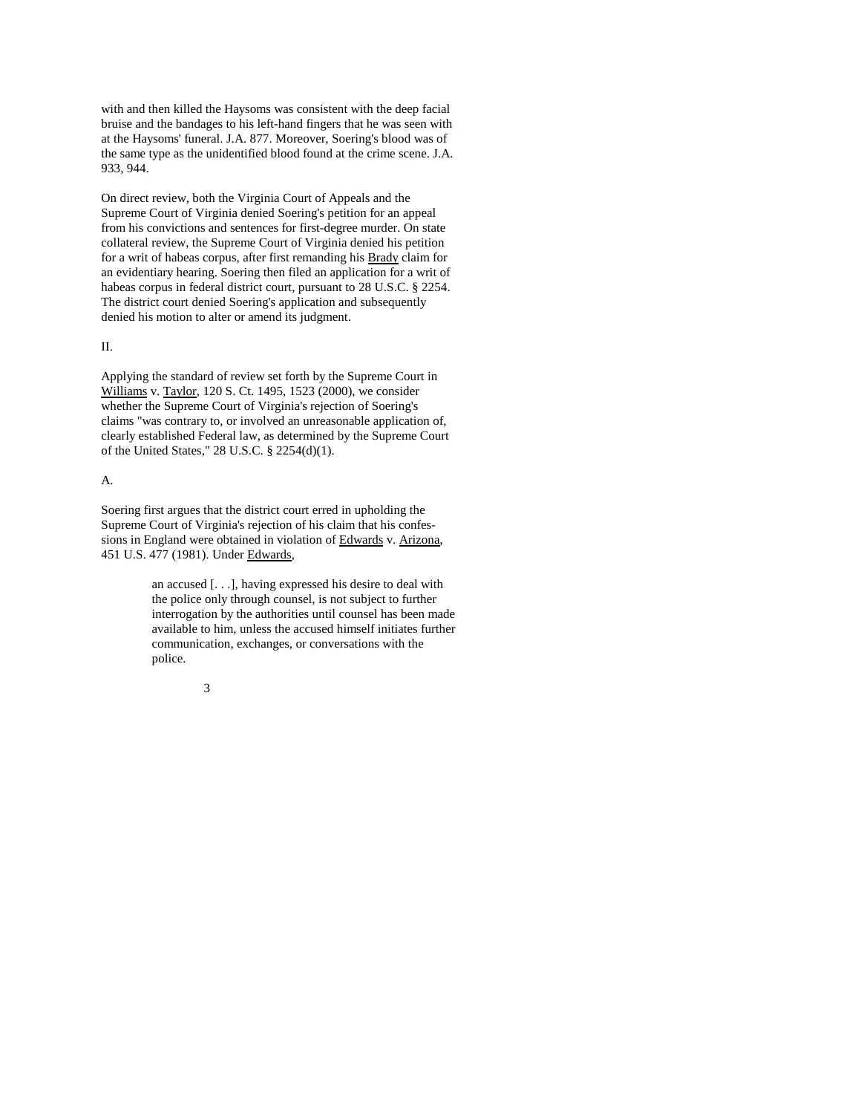with and then killed the Haysoms was consistent with the deep facial bruise and the bandages to his left-hand fingers that he was seen with at the Haysoms' funeral. J.A. 877. Moreover, Soering's blood was of the same type as the unidentified blood found at the crime scene. J.A. 933, 944.

On direct review, both the Virginia Court of Appeals and the Supreme Court of Virginia denied Soering's petition for an appeal from his convictions and sentences for first-degree murder. On state collateral review, the Supreme Court of Virginia denied his petition for a writ of habeas corpus, after first remanding his Brady claim for an evidentiary hearing. Soering then filed an application for a writ of habeas corpus in federal district court, pursuant to 28 U.S.C. § 2254. The district court denied Soering's application and subsequently denied his motion to alter or amend its judgment.

#### II.

Applying the standard of review set forth by the Supreme Court in Williams v. Taylor, 120 S. Ct. 1495, 1523 (2000), we consider whether the Supreme Court of Virginia's rejection of Soering's claims "was contrary to, or involved an unreasonable application of, clearly established Federal law, as determined by the Supreme Court of the United States," 28 U.S.C. § 2254(d)(1).

### A.

Soering first argues that the district court erred in upholding the Supreme Court of Virginia's rejection of his claim that his confessions in England were obtained in violation of Edwards v. Arizona, 451 U.S. 477 (1981). Under Edwards,

> an accused [. . .], having expressed his desire to deal with the police only through counsel, is not subject to further interrogation by the authorities until counsel has been made available to him, unless the accused himself initiates further communication, exchanges, or conversations with the police.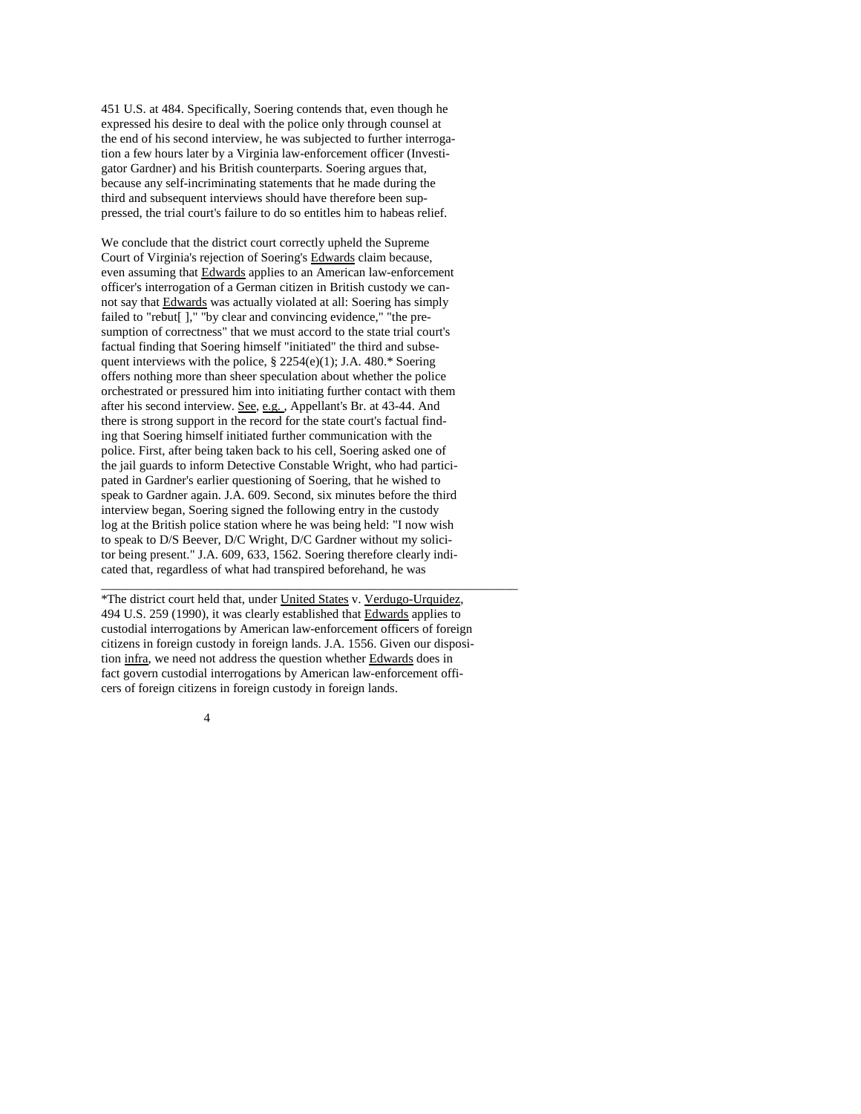451 U.S. at 484. Specifically, Soering contends that, even though he expressed his desire to deal with the police only through counsel at the end of his second interview, he was subjected to further interrogation a few hours later by a Virginia law-enforcement officer (Investigator Gardner) and his British counterparts. Soering argues that, because any self-incriminating statements that he made during the third and subsequent interviews should have therefore been suppressed, the trial court's failure to do so entitles him to habeas relief.

We conclude that the district court correctly upheld the Supreme Court of Virginia's rejection of Soering's Edwards claim because, even assuming that Edwards applies to an American law-enforcement officer's interrogation of a German citizen in British custody we cannot say that Edwards was actually violated at all: Soering has simply failed to "rebut[]," "by clear and convincing evidence," "the presumption of correctness" that we must accord to the state trial court's factual finding that Soering himself "initiated" the third and subsequent interviews with the police, § 2254(e)(1); J.A. 480.\* Soering offers nothing more than sheer speculation about whether the police orchestrated or pressured him into initiating further contact with them after his second interview. See, e.g. , Appellant's Br. at 43-44. And there is strong support in the record for the state court's factual finding that Soering himself initiated further communication with the police. First, after being taken back to his cell, Soering asked one of the jail guards to inform Detective Constable Wright, who had participated in Gardner's earlier questioning of Soering, that he wished to speak to Gardner again. J.A. 609. Second, six minutes before the third interview began, Soering signed the following entry in the custody log at the British police station where he was being held: "I now wish to speak to D/S Beever, D/C Wright, D/C Gardner without my solicitor being present." J.A. 609, 633, 1562. Soering therefore clearly indicated that, regardless of what had transpired beforehand, he was \_\_\_\_\_\_\_\_\_\_\_\_\_\_\_\_\_\_\_\_\_\_\_\_\_\_\_\_\_\_\_\_\_\_\_\_\_\_\_\_\_\_\_\_\_\_\_\_\_\_\_\_\_\_\_\_\_\_\_\_\_\_\_\_\_

\*The district court held that, under United States v. Verdugo-Urquidez, 494 U.S. 259 (1990), it was clearly established that Edwards applies to custodial interrogations by American law-enforcement officers of foreign citizens in foreign custody in foreign lands. J.A. 1556. Given our disposition infra, we need not address the question whether Edwards does in fact govern custodial interrogations by American law-enforcement officers of foreign citizens in foreign custody in foreign lands.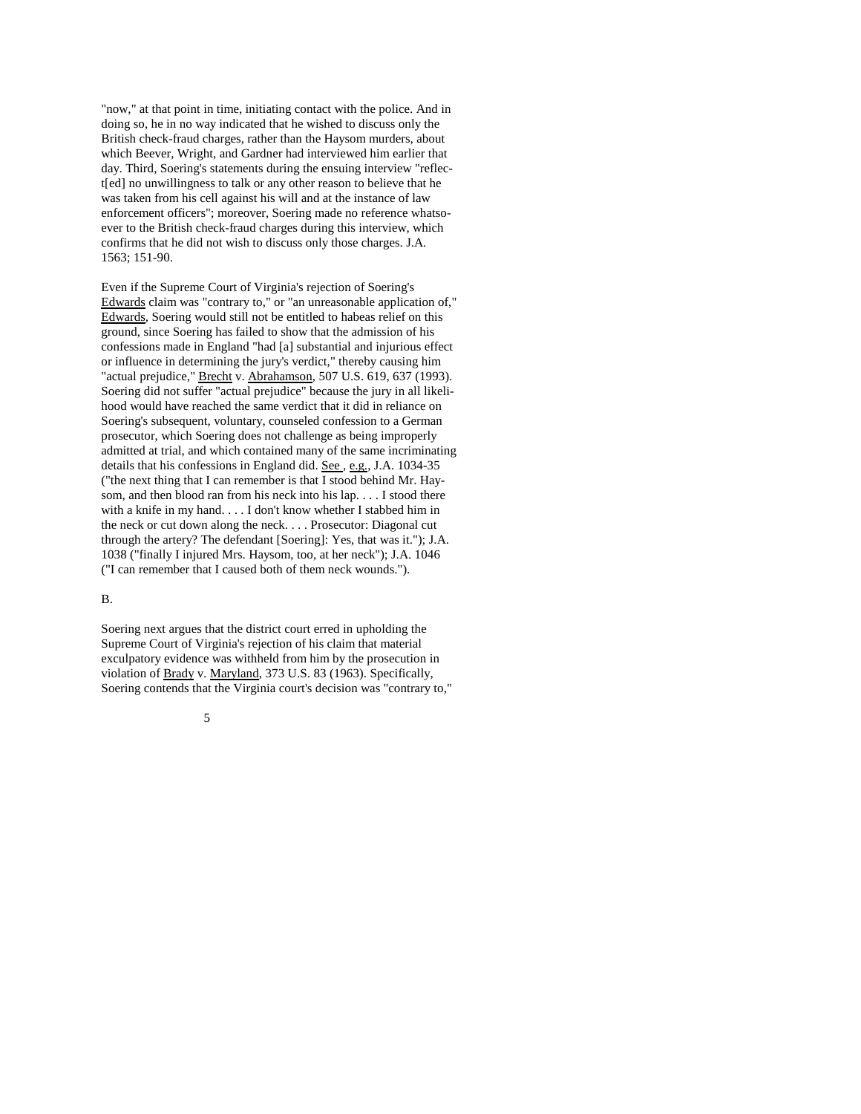"now," at that point in time, initiating contact with the police. And in doing so, he in no way indicated that he wished to discuss only the British check-fraud charges, rather than the Haysom murders, about which Beever, Wright, and Gardner had interviewed him earlier that day. Third, Soering's statements during the ensuing interview "reflect[ed] no unwillingness to talk or any other reason to believe that he was taken from his cell against his will and at the instance of law enforcement officers"; moreover, Soering made no reference whatsoever to the British check-fraud charges during this interview, which confirms that he did not wish to discuss only those charges. J.A. 1563; 151-90.

Even if the Supreme Court of Virginia's rejection of Soering's Edwards claim was "contrary to," or "an unreasonable application of," Edwards, Soering would still not be entitled to habeas relief on this ground, since Soering has failed to show that the admission of his confessions made in England "had [a] substantial and injurious effect or influence in determining the jury's verdict," thereby causing him "actual prejudice," Brecht v. Abrahamson, 507 U.S. 619, 637 (1993). Soering did not suffer "actual prejudice" because the jury in all likelihood would have reached the same verdict that it did in reliance on Soering's subsequent, voluntary, counseled confession to a German prosecutor, which Soering does not challenge as being improperly admitted at trial, and which contained many of the same incriminating details that his confessions in England did. See , e.g., J.A. 1034-35 ("the next thing that I can remember is that  $\overline{I}$  stood behind Mr. Haysom, and then blood ran from his neck into his lap. . . . I stood there with a knife in my hand. . . . I don't know whether I stabbed him in the neck or cut down along the neck. . . . Prosecutor: Diagonal cut through the artery? The defendant [Soering]: Yes, that was it."); J.A. 1038 ("finally I injured Mrs. Haysom, too, at her neck"); J.A. 1046 ("I can remember that I caused both of them neck wounds.").

### B.

Soering next argues that the district court erred in upholding the Supreme Court of Virginia's rejection of his claim that material exculpatory evidence was withheld from him by the prosecution in violation of Brady v. Maryland, 373 U.S. 83 (1963). Specifically, Soering contends that the Virginia court's decision was "contrary to,"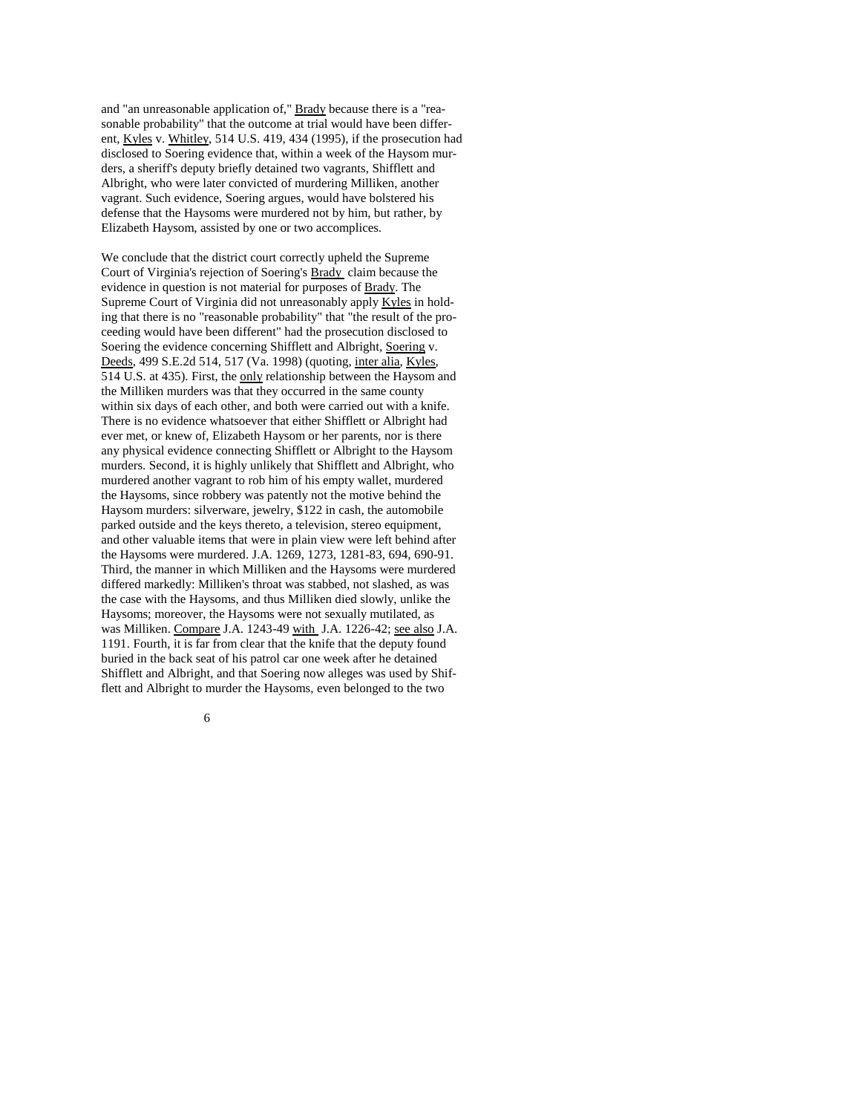and "an unreasonable application of," Brady because there is a "reasonable probability" that the outcome at trial would have been different, Kyles v. Whitley, 514 U.S. 419, 434 (1995), if the prosecution had disclosed to Soering evidence that, within a week of the Haysom murders, a sheriff's deputy briefly detained two vagrants, Shifflett and Albright, who were later convicted of murdering Milliken, another vagrant. Such evidence, Soering argues, would have bolstered his defense that the Haysoms were murdered not by him, but rather, by Elizabeth Haysom, assisted by one or two accomplices.

We conclude that the district court correctly upheld the Supreme Court of Virginia's rejection of Soering's Brady claim because the evidence in question is not material for purposes of Brady. The Supreme Court of Virginia did not unreasonably apply Kyles in holding that there is no "reasonable probability" that "the result of the proceeding would have been different" had the prosecution disclosed to Soering the evidence concerning Shifflett and Albright, Soering v. Deeds, 499 S.E.2d 514, 517 (Va. 1998) (quoting, inter alia, Kyles, 514 U.S. at 435). First, the only relationship between the Haysom and the Milliken murders was that they occurred in the same county within six days of each other, and both were carried out with a knife. There is no evidence whatsoever that either Shifflett or Albright had ever met, or knew of, Elizabeth Haysom or her parents, nor is there any physical evidence connecting Shifflett or Albright to the Haysom murders. Second, it is highly unlikely that Shifflett and Albright, who murdered another vagrant to rob him of his empty wallet, murdered the Haysoms, since robbery was patently not the motive behind the Haysom murders: silverware, jewelry, \$122 in cash, the automobile parked outside and the keys thereto, a television, stereo equipment, and other valuable items that were in plain view were left behind after the Haysoms were murdered. J.A. 1269, 1273, 1281-83, 694, 690-91. Third, the manner in which Milliken and the Haysoms were murdered differed markedly: Milliken's throat was stabbed, not slashed, as was the case with the Haysoms, and thus Milliken died slowly, unlike the Haysoms; moreover, the Haysoms were not sexually mutilated, as was Milliken. Compare J.A. 1243-49 with J.A. 1226-42; see also J.A. 1191. Fourth, it is far from clear that the knife that the deputy found buried in the back seat of his patrol car one week after he detained Shifflett and Albright, and that Soering now alleges was used by Shifflett and Albright to murder the Haysoms, even belonged to the two

 $\sim$  6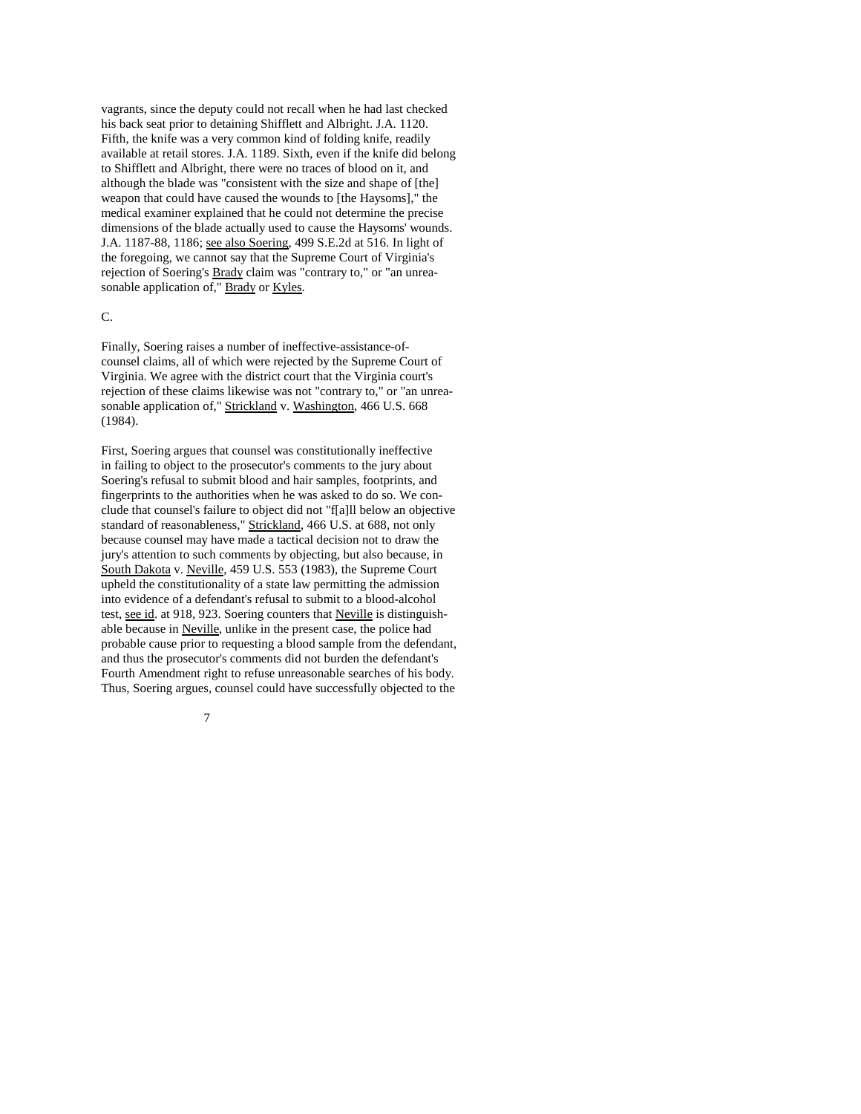vagrants, since the deputy could not recall when he had last checked his back seat prior to detaining Shifflett and Albright. J.A. 1120. Fifth, the knife was a very common kind of folding knife, readily available at retail stores. J.A. 1189. Sixth, even if the knife did belong to Shifflett and Albright, there were no traces of blood on it, and although the blade was "consistent with the size and shape of [the] weapon that could have caused the wounds to [the Haysoms]," the medical examiner explained that he could not determine the precise dimensions of the blade actually used to cause the Haysoms' wounds. J.A. 1187-88, 1186; see also Soering, 499 S.E.2d at 516. In light of the foregoing, we cannot say that the Supreme Court of Virginia's rejection of Soering's Brady claim was "contrary to," or "an unreasonable application of," Brady or Kyles.

#### C.

Finally, Soering raises a number of ineffective-assistance-ofcounsel claims, all of which were rejected by the Supreme Court of Virginia. We agree with the district court that the Virginia court's rejection of these claims likewise was not "contrary to," or "an unreasonable application of," Strickland v. Washington, 466 U.S. 668 (1984).

First, Soering argues that counsel was constitutionally ineffective in failing to object to the prosecutor's comments to the jury about Soering's refusal to submit blood and hair samples, footprints, and fingerprints to the authorities when he was asked to do so. We conclude that counsel's failure to object did not "f[a]ll below an objective standard of reasonableness," Strickland, 466 U.S. at 688, not only because counsel may have made a tactical decision not to draw the jury's attention to such comments by objecting, but also because, in South Dakota v. Neville, 459 U.S. 553 (1983), the Supreme Court upheld the constitutionality of a state law permitting the admission into evidence of a defendant's refusal to submit to a blood-alcohol test, see id. at 918, 923. Soering counters that Neville is distinguishable because in Neville, unlike in the present case, the police had probable cause prior to requesting a blood sample from the defendant, and thus the prosecutor's comments did not burden the defendant's Fourth Amendment right to refuse unreasonable searches of his body. Thus, Soering argues, counsel could have successfully objected to the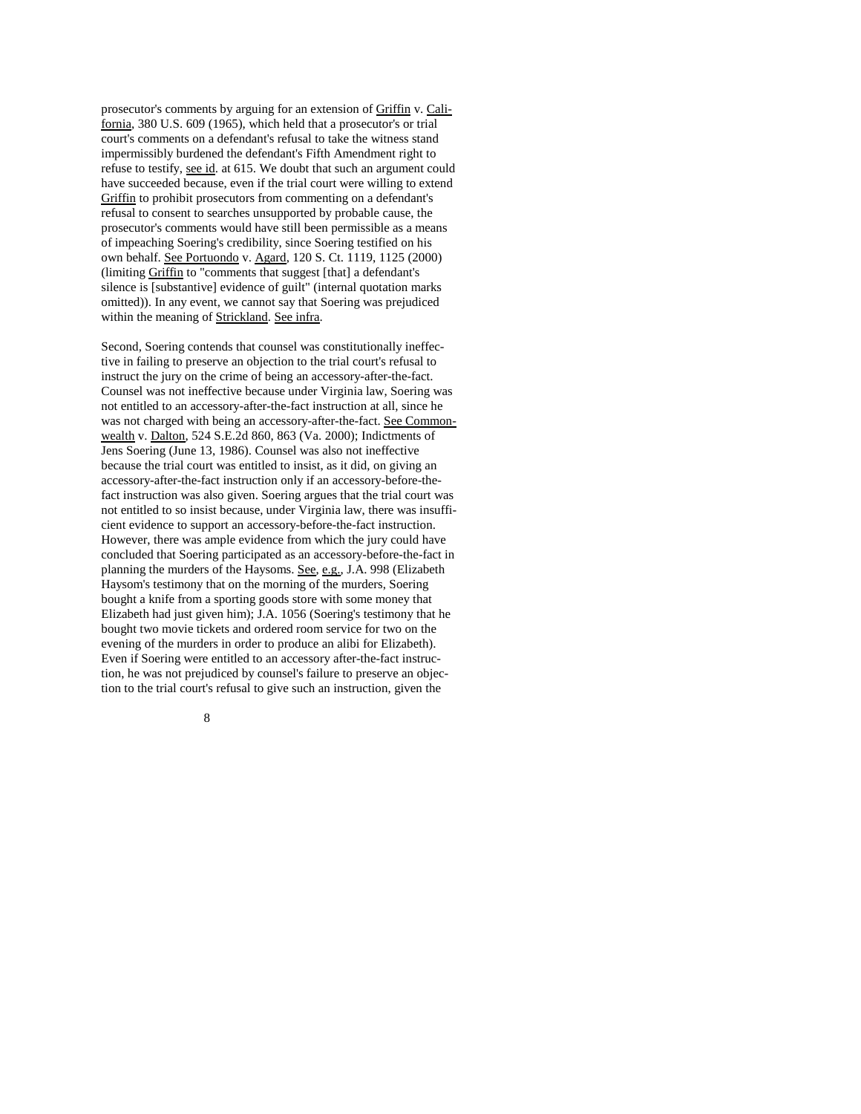prosecutor's comments by arguing for an extension of Griffin v. California, 380 U.S. 609 (1965), which held that a prosecutor's or trial court's comments on a defendant's refusal to take the witness stand impermissibly burdened the defendant's Fifth Amendment right to refuse to testify, see id. at 615. We doubt that such an argument could have succeeded because, even if the trial court were willing to extend Griffin to prohibit prosecutors from commenting on a defendant's refusal to consent to searches unsupported by probable cause, the prosecutor's comments would have still been permissible as a means of impeaching Soering's credibility, since Soering testified on his own behalf. See Portuondo v. Agard, 120 S. Ct. 1119, 1125 (2000) (limiting Griffin to "comments that suggest [that] a defendant's silence is [substantive] evidence of guilt" (internal quotation marks omitted)). In any event, we cannot say that Soering was prejudiced within the meaning of Strickland. See infra.

Second, Soering contends that counsel was constitutionally ineffective in failing to preserve an objection to the trial court's refusal to instruct the jury on the crime of being an accessory-after-the-fact. Counsel was not ineffective because under Virginia law, Soering was not entitled to an accessory-after-the-fact instruction at all, since he was not charged with being an accessory-after-the-fact. See Commonwealth v. Dalton, 524 S.E.2d 860, 863 (Va. 2000); Indictments of Jens Soering (June 13, 1986). Counsel was also not ineffective because the trial court was entitled to insist, as it did, on giving an accessory-after-the-fact instruction only if an accessory-before-thefact instruction was also given. Soering argues that the trial court was not entitled to so insist because, under Virginia law, there was insufficient evidence to support an accessory-before-the-fact instruction. However, there was ample evidence from which the jury could have concluded that Soering participated as an accessory-before-the-fact in planning the murders of the Haysoms. See, e.g., J.A. 998 (Elizabeth Haysom's testimony that on the morning of the murders, Soering bought a knife from a sporting goods store with some money that Elizabeth had just given him); J.A. 1056 (Soering's testimony that he bought two movie tickets and ordered room service for two on the evening of the murders in order to produce an alibi for Elizabeth). Even if Soering were entitled to an accessory after-the-fact instruction, he was not prejudiced by counsel's failure to preserve an objection to the trial court's refusal to give such an instruction, given the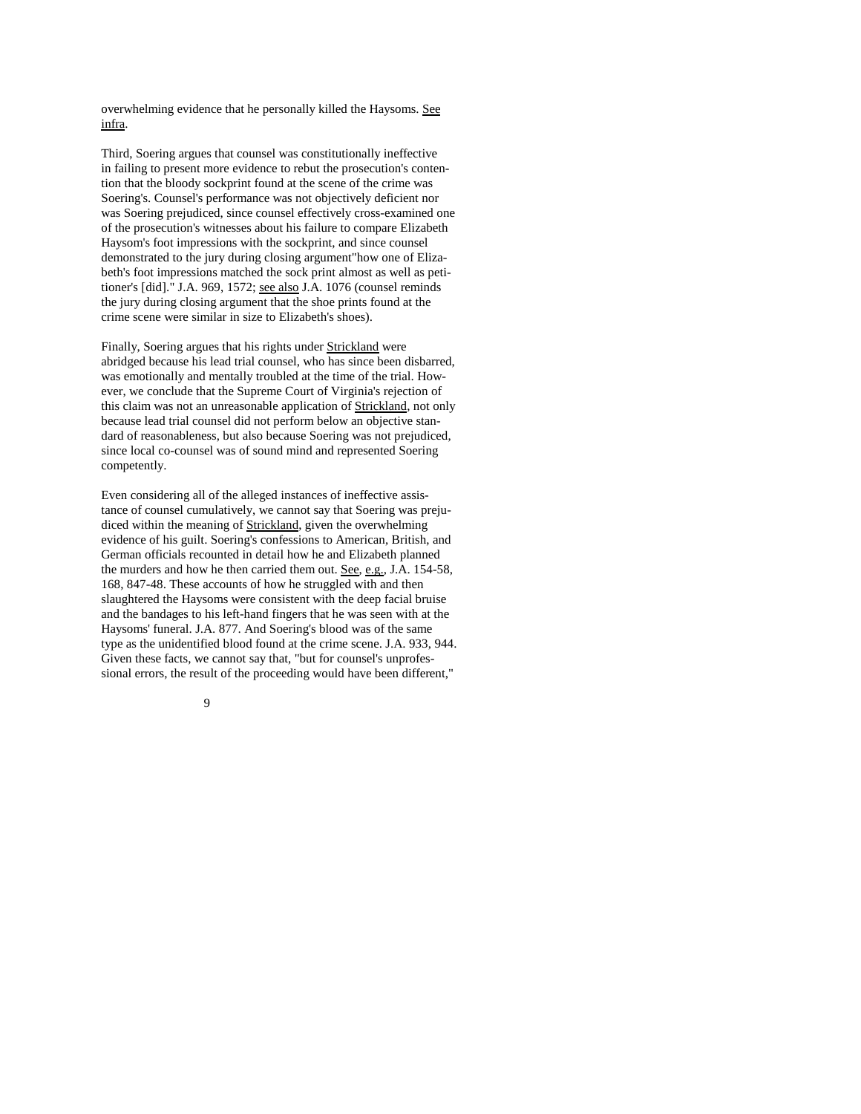overwhelming evidence that he personally killed the Haysoms. See infra.

Third, Soering argues that counsel was constitutionally ineffective in failing to present more evidence to rebut the prosecution's contention that the bloody sockprint found at the scene of the crime was Soering's. Counsel's performance was not objectively deficient nor was Soering prejudiced, since counsel effectively cross-examined one of the prosecution's witnesses about his failure to compare Elizabeth Haysom's foot impressions with the sockprint, and since counsel demonstrated to the jury during closing argument"how one of Elizabeth's foot impressions matched the sock print almost as well as petitioner's [did]." J.A. 969, 1572; see also J.A. 1076 (counsel reminds the jury during closing argument that the shoe prints found at the crime scene were similar in size to Elizabeth's shoes).

Finally, Soering argues that his rights under Strickland were abridged because his lead trial counsel, who has since been disbarred, was emotionally and mentally troubled at the time of the trial. However, we conclude that the Supreme Court of Virginia's rejection of this claim was not an unreasonable application of Strickland, not only because lead trial counsel did not perform below an objective standard of reasonableness, but also because Soering was not prejudiced, since local co-counsel was of sound mind and represented Soering competently.

Even considering all of the alleged instances of ineffective assistance of counsel cumulatively, we cannot say that Soering was prejudiced within the meaning of Strickland, given the overwhelming evidence of his guilt. Soering's confessions to American, British, and German officials recounted in detail how he and Elizabeth planned the murders and how he then carried them out. See, e.g., J.A. 154-58, 168, 847-48. These accounts of how he struggled with and then slaughtered the Haysoms were consistent with the deep facial bruise and the bandages to his left-hand fingers that he was seen with at the Haysoms' funeral. J.A. 877. And Soering's blood was of the same type as the unidentified blood found at the crime scene. J.A. 933, 944. Given these facts, we cannot say that, "but for counsel's unprofessional errors, the result of the proceeding would have been different,"